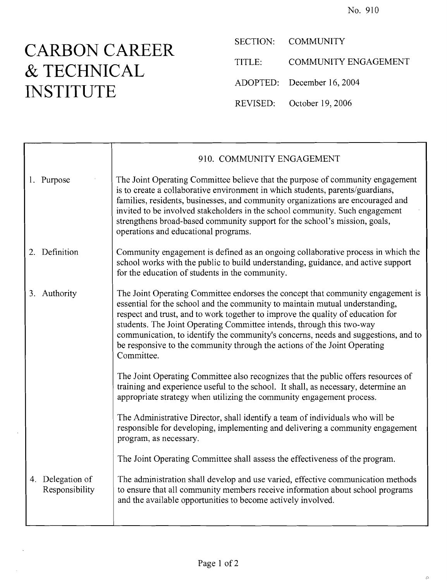## **& TECHNICAL** ADOPTED: December 16, 2004 **INSTITUTE** ADOPTED

**CARBON CAREER** SECTION: COMMUNITY<br>
TITLE: COMMUNITY ENGAGEMENT October 19, 2006

| 910. COMMUNITY ENGAGEMENT                                                                                                                                                                                                                                                                                                                                                                                                                                                                                    |
|--------------------------------------------------------------------------------------------------------------------------------------------------------------------------------------------------------------------------------------------------------------------------------------------------------------------------------------------------------------------------------------------------------------------------------------------------------------------------------------------------------------|
| The Joint Operating Committee believe that the purpose of community engagement<br>is to create a collaborative environment in which students, parents/guardians,<br>families, residents, businesses, and community organizations are encouraged and<br>invited to be involved stakeholders in the school community. Such engagement<br>strengthens broad-based community support for the school's mission, goals,<br>operations and educational programs.                                                    |
| Community engagement is defined as an ongoing collaborative process in which the<br>school works with the public to build understanding, guidance, and active support<br>for the education of students in the community.                                                                                                                                                                                                                                                                                     |
| The Joint Operating Committee endorses the concept that community engagement is<br>essential for the school and the community to maintain mutual understanding,<br>respect and trust, and to work together to improve the quality of education for<br>students. The Joint Operating Committee intends, through this two-way<br>communication, to identify the community's concerns, needs and suggestions, and to<br>be responsive to the community through the actions of the Joint Operating<br>Committee. |
| The Joint Operating Committee also recognizes that the public offers resources of<br>training and experience useful to the school. It shall, as necessary, determine an<br>appropriate strategy when utilizing the community engagement process.                                                                                                                                                                                                                                                             |
| The Administrative Director, shall identify a team of individuals who will be<br>responsible for developing, implementing and delivering a community engagement<br>program, as necessary.                                                                                                                                                                                                                                                                                                                    |
| The Joint Operating Committee shall assess the effectiveness of the program.                                                                                                                                                                                                                                                                                                                                                                                                                                 |
| The administration shall develop and use varied, effective communication methods<br>to ensure that all community members receive information about school programs<br>and the available opportunities to become actively involved.                                                                                                                                                                                                                                                                           |
|                                                                                                                                                                                                                                                                                                                                                                                                                                                                                                              |